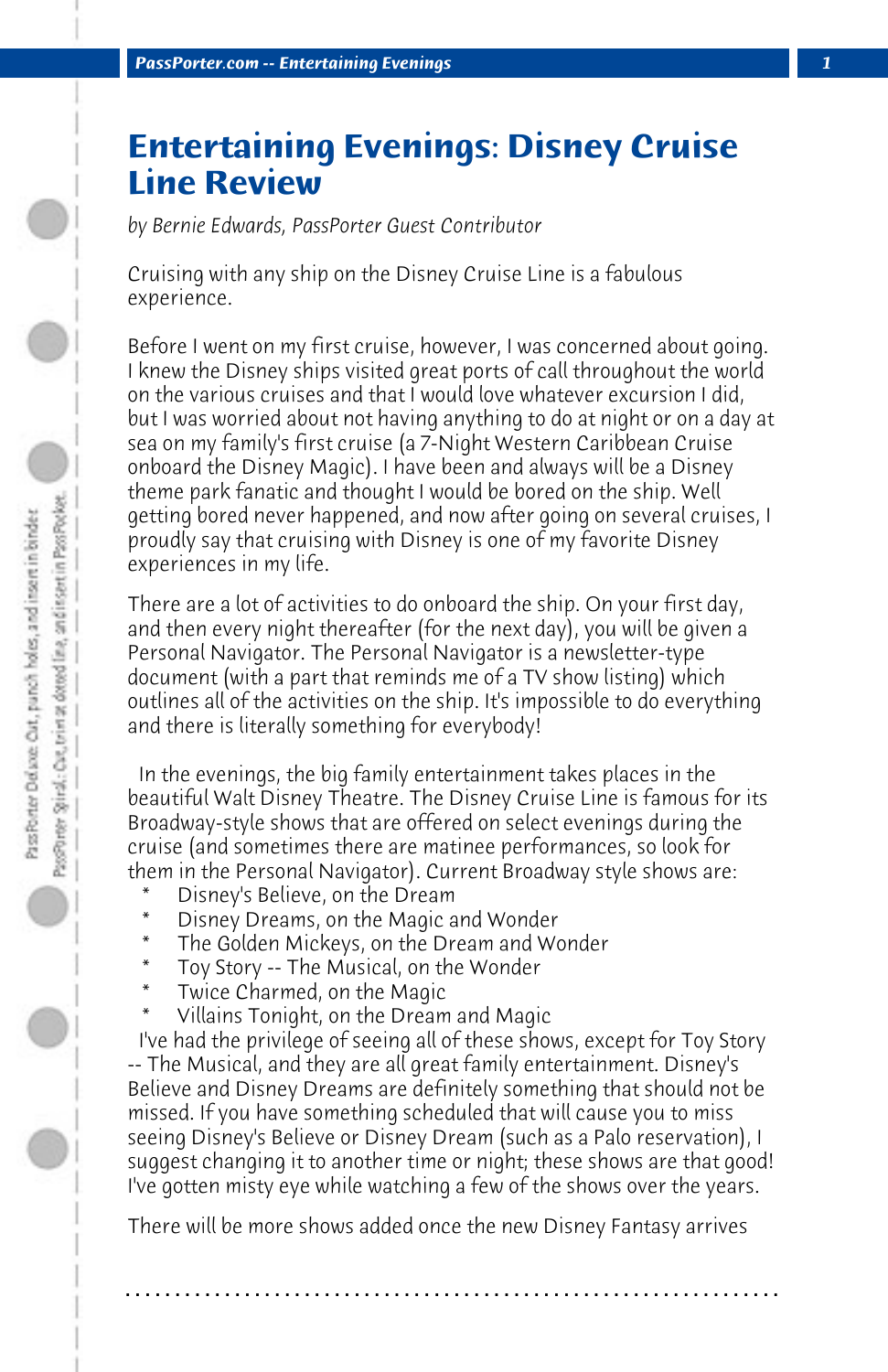## **Entertaining Evenings: Disney Cruise Line Review**

*by Bernie Edwards, PassPorter Guest Contributor*

Cruising with any ship on the Disney Cruise Line is a fabulous experience.

Before I went on my first cruise, however, I was concerned about going. I knew the Disney ships visited great ports of call throughout the world on the various cruises and that I would love whatever excursion I did, but I was worried about not having anything to do at night or on a day at sea on my family's first cruise (a 7-Night Western Caribbean Cruise onboard the Disney Magic). I have been and always will be a Disney theme park fanatic and thought I would be bored on the ship. Well getting bored never happened, and now after going on several cruises, I proudly say that cruising with Disney is one of my favorite Disney experiences in my life.

There are a lot of activities to do onboard the ship. On your first day, and then every night thereafter (for the next day), you will be given a Personal Navigator. The Personal Navigator is a newsletter-type document (with a part that reminds me of a TV show listing) which outlines all of the activities on the ship. It's impossible to do everything and there is literally something for everybody!

 In the evenings, the big family entertainment takes places in the beautiful Walt Disney Theatre. The Disney Cruise Line is famous for its Broadway-style shows that are offered on select evenings during the cruise (and sometimes there are matinee performances, so look for them in the Personal Navigator). Current Broadway style shows are: 

- Disney's Believe, on the Dream
- \* Disney Dreams, on the Magic and Wonder
- $*$  The Golden Mickeys, on the Dream and Wonder<br> $*$  Toy Stemy The Musical on the Wonder
- Toy Story -- The Musical, on the Wonder
- Twice Charmed, on the Magic
- Villains Tonight, on the Dream and Magic

 I've had the privilege of seeing all of these shows, except for Toy Story -- The Musical, and they are all great family entertainment. Disney's Believe and Disney Dreams are definitely something that should not be missed. If you have something scheduled that will cause you to miss seeing Disney's Believe or Disney Dream (such as a Palo reservation), I suggest changing it to another time or night; these shows are that good! I've gotten misty eye while watching a few of the shows over the years.

There will be more shows added once the new Disney Fantasy arrives

**. . . . . . . . . . . . . . . . . . . . . . . . . . . . . . . . . . . . . . . . . . . . . . . . . . . . . . . . . . . . . . . . . .**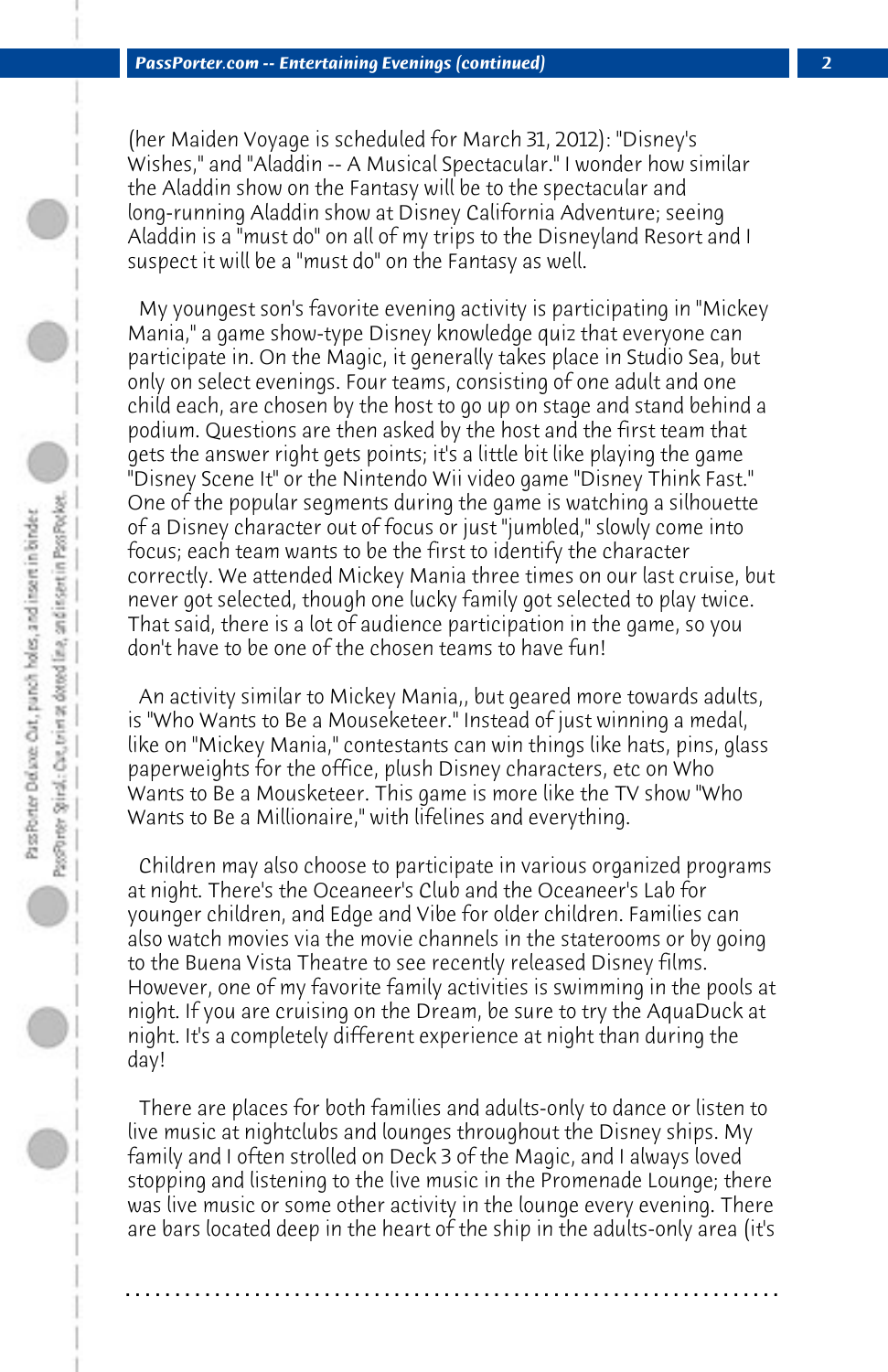(her Maiden Voyage is scheduled for March 31, 2012): "Disney's Wishes," and "Aladdin -- A Musical Spectacular." I wonder how similar the Aladdin show on the Fantasy will be to the spectacular and long-running Aladdin show at Disney California Adventure; seeing Aladdin is a "must do" on all of my trips to the Disneyland Resort and I suspect it will be a "must do" on the Fantasy as well.

 My youngest son's favorite evening activity is participating in "Mickey Mania," a game show-type Disney knowledge quiz that everyone can participate in. On the Magic, it generally takes place in Studio Sea, but only on select evenings. Four teams, consisting of one adult and one child each, are chosen by the host to go up on stage and stand behind a podium. Questions are then asked by the host and the first team that gets the answer right gets points; it's a little bit like playing the game "Disney Scene It" or the Nintendo Wii video game "Disney Think Fast." One of the popular segments during the game is watching a silhouette of a Disney character out of focus or just "jumbled," slowly come into focus; each team wants to be the first to identify the character correctly. We attended Mickey Mania three times on our last cruise, but never got selected, though one lucky family got selected to play twice. That said, there is a lot of audience participation in the game, so you don't have to be one of the chosen teams to have fun!

 An activity similar to Mickey Mania,, but geared more towards adults, is "Who Wants to Be a Mouseketeer." Instead of just winning a medal, like on "Mickey Mania," contestants can win things like hats, pins, glass paperweights for the office, plush Disney characters, etc on Who Wants to Be a Mousketeer. This game is more like the TV show "Who Wants to Be a Millionaire," with lifelines and everything.

 Children may also choose to participate in various organized programs at night. There's the Oceaneer's Club and the Oceaneer's Lab for younger children, and Edge and Vibe for older children. Families can also watch movies via the movie channels in the staterooms or by going to the Buena Vista Theatre to see recently released Disney films. However, one of my favorite family activities is swimming in the pools at night. If you are cruising on the Dream, be sure to try the AquaDuck at night. It's a completely different experience at night than during the day!

 There are places for both families and adults-only to dance or listen to live music at nightclubs and lounges throughout the Disney ships. My family and I often strolled on Deck 3 of the Magic, and I always loved stopping and listening to the live music in the Promenade Lounge; there was live music or some other activity in the lounge every evening. There are bars located deep in the heart of the ship in the adults-only area (it's

**. . . . . . . . . . . . . . . . . . . . . . . . . . . . . . . . . . . . . . . . . . . . . . . . . . . . . . . . . . . . . . . . . .**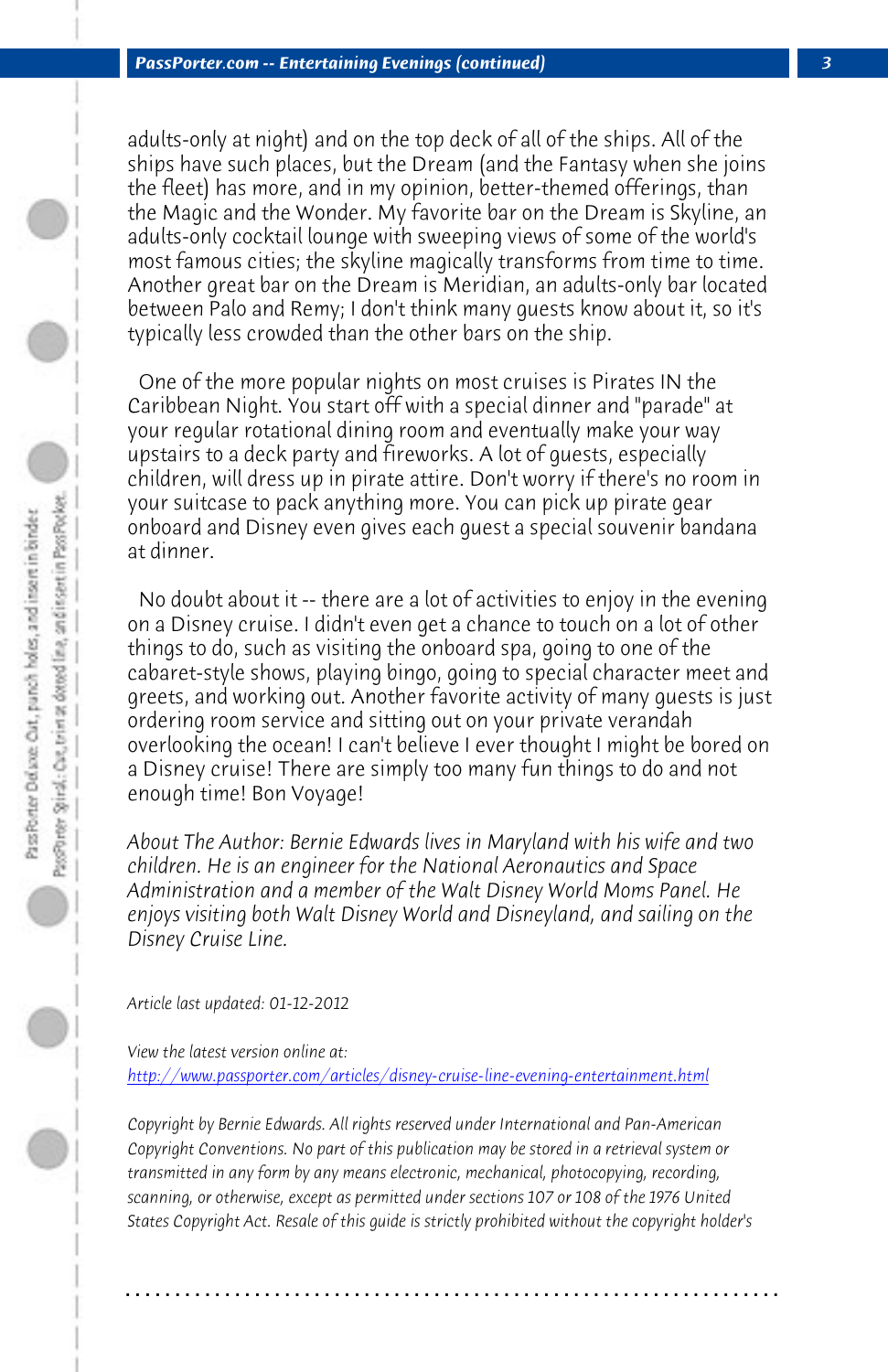*PassPorter.com -- Entertaining Evenings (continued) 3*

adults-only at night) and on the top deck of all of the ships. All of the ships have such places, but the Dream (and the Fantasy when she joins the fleet) has more, and in my opinion, better-themed offerings, than the Magic and the Wonder. My favorite bar on the Dream is Skyline, an adults-only cocktail lounge with sweeping views of some of the world's most famous cities; the skyline magically transforms from time to time. Another great bar on the Dream is Meridian, an adults-only bar located between Palo and Remy; I don't think many guests know about it, so it's typically less crowded than the other bars on the ship.

 One of the more popular nights on most cruises is Pirates IN the Caribbean Night. You start off with a special dinner and "parade" at your regular rotational dining room and eventually make your way upstairs to a deck party and fireworks. A lot of guests, especially children, will dress up in pirate attire. Don't worry if there's no room in your suitcase to pack anything more. You can pick up pirate gear onboard and Disney even gives each guest a special souvenir bandana at dinner.

 No doubt about it -- there are a lot of activities to enjoy in the evening on a Disney cruise. I didn't even get a chance to touch on a lot of other things to do, such as visiting the onboard spa, going to one of the [cabaret-style shows, playing bingo, going to special character me](http://www.passporter.com/articles/disney-cruise-line-evening-entertainment.php)et and greets, and working out. Another favorite activity of many guests is just ordering room service and sitting out on your private verandah overlooking the ocean! I can't believe I ever thought I might be bored on a Disney cruise! There are simply too many fun things to do and not enough time! Bon Voyage!

*About The Author: Bernie Edwards lives in Maryland with his wife and two children. He is an engineer for the National Aeronautics and Space Administration and a member of the Walt Disney World Moms Panel. He enjoys visiting both Walt Disney World and Disneyland, and sailing on the Disney Cruise Line.*

*Article last updated: 01-12-2012*

*View the latest version online at: http://www.passporter.com/articles/disney-cruise-line-evening-entertainment.html*

*Copyright by Bernie Edwards. All rights reserved under International and Pan-American Copyright Conventions. No part of this publication may be stored in a retrieval system or transmitted in any form by any means electronic, mechanical, photocopying, recording, scanning, or otherwise, except as permitted under sections 107 or 108 of the 1976 United States Copyright Act. Resale of this guide is strictly prohibited without the copyright holder's*

**. . . . . . . . . . . . . . . . . . . . . . . . . . . . . . . . . . . . . . . . . . . . . . . . . . . . . . . . . . . . . . . . . .**